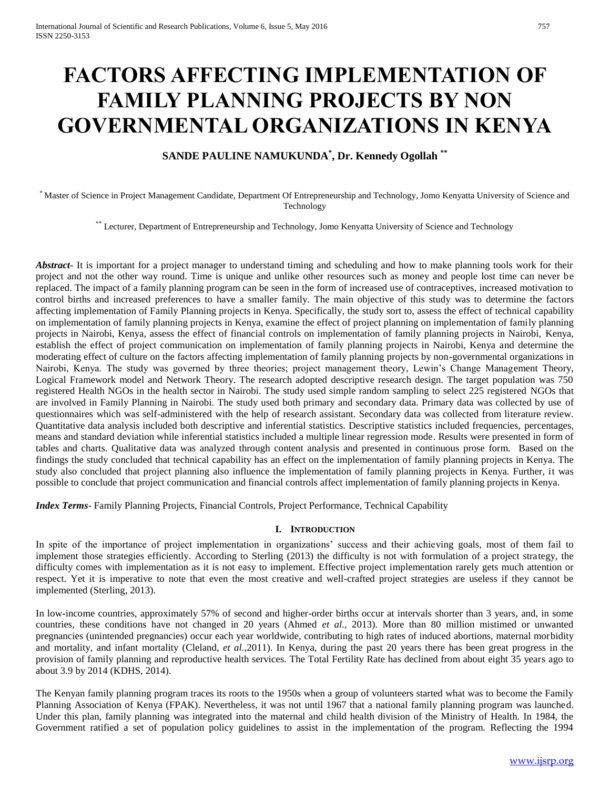# **FACTORS AFFECTING IMPLEMENTATION OF FAMILY PLANNING PROJECTS BY NON GOVERNMENTAL ORGANIZATIONS IN KENYA**

## **SANDE PAULINE NAMUKUNDA\* , Dr. Kennedy Ogollah \*\***

\* Master of Science in Project Management Candidate, Department Of Entrepreneurship and Technology, Jomo Kenyatta University of Science and Technology

\*\* Lecturer, Department of Entrepreneurship and Technology, Jomo Kenyatta University of Science and Technology

*Abstract***-** It is important for a project manager to understand timing and scheduling and how to make planning tools work for their project and not the other way round. Time is unique and unlike other resources such as money and people lost time can never be replaced. The impact of a family planning program can be seen in the form of increased use of contraceptives, increased motivation to control births and increased preferences to have a smaller family. The main objective of this study was to determine the factors affecting implementation of Family Planning projects in Kenya. Specifically, the study sort to, assess the effect of technical capability on implementation of family planning projects in Kenya, examine the effect of project planning on implementation of family planning projects in Nairobi, Kenya, assess the effect of financial controls on implementation of family planning projects in Nairobi, Kenya, establish the effect of project communication on implementation of family planning projects in Nairobi, Kenya and determine the moderating effect of culture on the factors affecting implementation of family planning projects by non-governmental organizations in Nairobi, Kenya. The study was governed by three theories; project management theory, Lewin's Change Management Theory, Logical Framework model and Network Theory. The research adopted descriptive research design. The target population was 750 registered Health NGOs in the health sector in Nairobi. The study used simple random sampling to select 225 registered NGOs that are involved in Family Planning in Nairobi. The study used both primary and secondary data. Primary data was collected by use of questionnaires which was self-administered with the help of research assistant. Secondary data was collected from literature review. Quantitative data analysis included both descriptive and inferential statistics. Descriptive statistics included frequencies, percentages, means and standard deviation while inferential statistics included a multiple linear regression mode. Results were presented in form of tables and charts. Qualitative data was analyzed through content analysis and presented in continuous prose form. Based on the findings the study concluded that technical capability has an effect on the implementation of family planning projects in Kenya. The study also concluded that project planning also influence the implementation of family planning projects in Kenya. Further, it was possible to conclude that project communication and financial controls affect implementation of family planning projects in Kenya.

*Index Terms*- Family Planning Projects, Financial Controls, Project Performance, Technical Capability

## **I. INTRODUCTION**

In spite of the importance of project implementation in organizations' success and their achieving goals, most of them fail to implement those strategies efficiently. According to Sterling (2013) the difficulty is not with formulation of a project strategy, the difficulty comes with implementation as it is not easy to implement. Effective project implementation rarely gets much attention or respect. Yet it is imperative to note that even the most creative and well-crafted project strategies are useless if they cannot be implemented (Sterling, 2013).

In low-income countries, approximately 57% of second and higher-order births occur at intervals shorter than 3 years, and, in some countries, these conditions have not changed in 20 years (Ahmed *et al.,* 2013). More than 80 million mistimed or unwanted pregnancies (unintended pregnancies) occur each year worldwide, contributing to high rates of induced abortions, maternal morbidity and mortality, and infant mortality (Cleland, *et al.,*2011). In Kenya, during the past 20 years there has been great progress in the provision of family planning and reproductive health services. The Total Fertility Rate has declined from about eight 35 years ago to about 3.9 by 2014 (KDHS, 2014).

The Kenyan family planning program traces its roots to the 1950s when a group of volunteers started what was to become the Family Planning Association of Kenya (FPAK). Nevertheless, it was not until 1967 that a national family planning program was launched. Under this plan, family planning was integrated into the maternal and child health division of the Ministry of Health. In 1984, the Government ratified a set of population policy guidelines to assist in the implementation of the program. Reflecting the 1994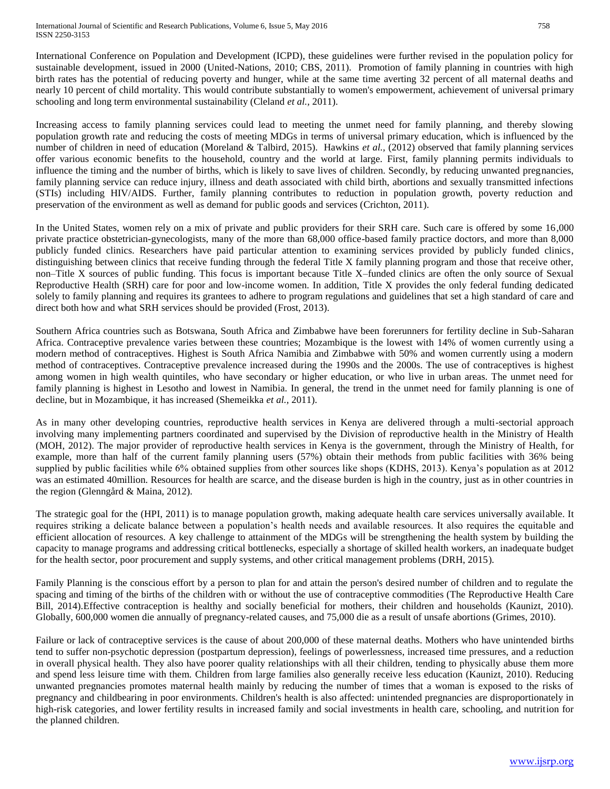International Conference on Population and Development (ICPD), these guidelines were further revised in the population policy for sustainable development, issued in 2000 (United-Nations, 2010; CBS, 2011). Promotion of family planning in countries with high birth rates has the potential of reducing poverty and hunger, while at the same time averting 32 percent of all maternal deaths and nearly 10 percent of child mortality. This would contribute substantially to women's empowerment, achievement of universal primary schooling and long term environmental sustainability (Cleland *et al.,* 2011).

Increasing access to family planning services could lead to meeting the unmet need for family planning, and thereby slowing population growth rate and reducing the costs of meeting MDGs in terms of universal primary education, which is influenced by the number of children in need of education (Moreland & Talbird, 2015). Hawkins *et al.,* (2012) observed that family planning services offer various economic benefits to the household, country and the world at large. First, family planning permits individuals to influence the timing and the number of births, which is likely to save lives of children. Secondly, by reducing unwanted pregnancies, family planning service can reduce injury, illness and death associated with child birth, abortions and sexually transmitted infections (STIs) including HIV/AIDS. Further, family planning contributes to reduction in population growth, poverty reduction and preservation of the environment as well as demand for public goods and services (Crichton, 2011).

In the United States, women rely on a mix of private and public providers for their SRH care. Such care is offered by some 16,000 private practice obstetrician-gynecologists, many of the more than 68,000 office-based family practice doctors, and more than 8,000 publicly funded clinics. Researchers have paid particular attention to examining services provided by publicly funded clinics, distinguishing between clinics that receive funding through the federal Title X family planning program and those that receive other, non–Title X sources of public funding. This focus is important because Title X–funded clinics are often the only source of Sexual Reproductive Health (SRH) care for poor and low-income women. In addition, Title X provides the only federal funding dedicated solely to family planning and requires its grantees to adhere to program regulations and guidelines that set a high standard of care and direct both how and what SRH services should be provided (Frost, 2013).

Southern Africa countries such as Botswana, South Africa and Zimbabwe have been forerunners for fertility decline in Sub-Saharan Africa. Contraceptive prevalence varies between these countries; Mozambique is the lowest with 14% of women currently using a modern method of contraceptives. Highest is South Africa Namibia and Zimbabwe with 50% and women currently using a modern method of contraceptives. Contraceptive prevalence increased during the 1990s and the 2000s. The use of contraceptives is highest among women in high wealth quintiles, who have secondary or higher education, or who live in urban areas. The unmet need for family planning is highest in Lesotho and lowest in Namibia. In general, the trend in the unmet need for family planning is one of decline, but in Mozambique, it has increased (Shemeikka *et al.,* 2011).

As in many other developing countries, reproductive health services in Kenya are delivered through a multi-sectorial approach involving many implementing partners coordinated and supervised by the Division of reproductive health in the Ministry of Health (MOH, 2012). The major provider of reproductive health services in Kenya is the government, through the Ministry of Health, for example, more than half of the current family planning users (57%) obtain their methods from public facilities with 36% being supplied by public facilities while 6% obtained supplies from other sources like shops (KDHS, 2013). Kenya's population as at 2012 was an estimated 40million. Resources for health are scarce, and the disease burden is high in the country, just as in other countries in the region (Glenngård & Maina, 2012).

The strategic goal for the (HPI, 2011) is to manage population growth, making adequate health care services universally available. It requires striking a delicate balance between a population's health needs and available resources. It also requires the equitable and efficient allocation of resources. A key challenge to attainment of the MDGs will be strengthening the health system by building the capacity to manage programs and addressing critical bottlenecks, especially a shortage of skilled health workers, an inadequate budget for the health sector, poor procurement and supply systems, and other critical management problems (DRH, 2015).

Family Planning is the conscious effort by a person to plan for and attain the person's desired number of children and to regulate the spacing and timing of the births of the children with or without the use of contraceptive commodities (The Reproductive Health Care Bill, 2014).Effective contraception is healthy and socially beneficial for mothers, their children and households (Kaunizt, 2010). Globally, 600,000 women die annually of pregnancy-related causes, and 75,000 die as a result of unsafe abortions (Grimes, 2010).

Failure or lack of contraceptive services is the cause of about 200,000 of these maternal deaths. Mothers who have unintended births tend to suffer non-psychotic depression (postpartum depression), feelings of powerlessness, increased time pressures, and a reduction in overall physical health. They also have poorer quality relationships with all their children, tending to physically abuse them more and spend less leisure time with them. Children from large families also generally receive less education (Kaunizt, 2010). Reducing unwanted pregnancies promotes maternal health mainly by reducing the number of times that a woman is exposed to the risks of pregnancy and childbearing in poor environments. Children's health is also affected: unintended pregnancies are disproportionately in high-risk categories, and lower fertility results in increased family and social investments in health care, schooling, and nutrition for the planned children.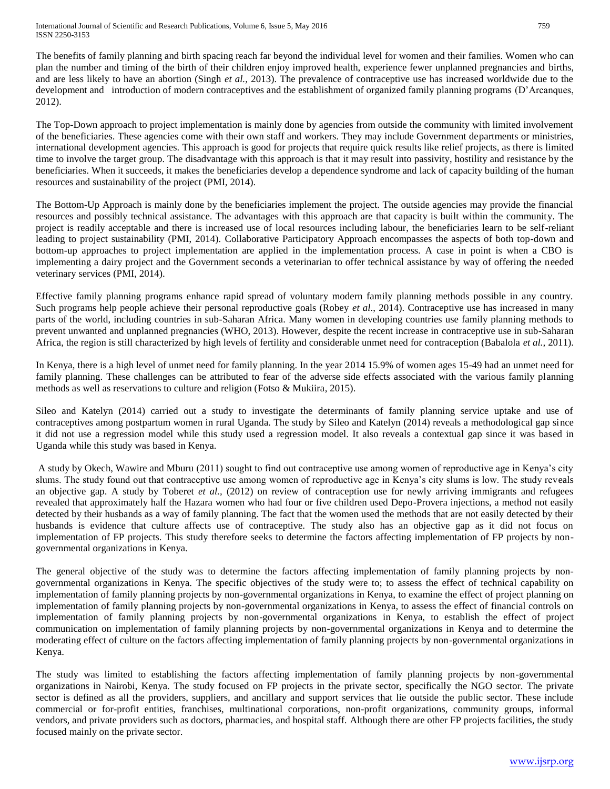The benefits of family planning and birth spacing reach far beyond the individual level for women and their families. Women who can plan the number and timing of the birth of their children enjoy improved health, experience fewer unplanned pregnancies and births, and are less likely to have an abortion (Singh *et al.*, 2013). The prevalence of contraceptive use has increased worldwide due to the development and introduction of modern contraceptives and the establishment of organized family planning programs (D'Arcanques, 2012).

The Top-Down approach to project implementation is mainly done by agencies from outside the community with limited involvement of the beneficiaries. These agencies come with their own staff and workers. They may include Government departments or ministries, international development agencies. This approach is good for projects that require quick results like relief projects, as there is limited time to involve the target group. The disadvantage with this approach is that it may result into passivity, hostility and resistance by the beneficiaries. When it succeeds, it makes the beneficiaries develop a dependence syndrome and lack of capacity building of the human resources and sustainability of the project (PMI, 2014).

The Bottom-Up Approach is mainly done by the beneficiaries implement the project. The outside agencies may provide the financial resources and possibly technical assistance. The advantages with this approach are that capacity is built within the community. The project is readily acceptable and there is increased use of local resources including labour, the beneficiaries learn to be self-reliant leading to project sustainability (PMI, 2014). Collaborative Participatory Approach encompasses the aspects of both top-down and bottom-up approaches to project implementation are applied in the implementation process. A case in point is when a CBO is implementing a dairy project and the Government seconds a veterinarian to offer technical assistance by way of offering the needed veterinary services (PMI, 2014).

Effective family planning programs enhance rapid spread of voluntary modern family planning methods possible in any country. Such programs help people achieve their personal reproductive goals (Robey *et al.*, 2014). Contraceptive use has increased in many parts of the world, including countries in sub-Saharan Africa. Many women in developing countries use family planning methods to prevent unwanted and unplanned pregnancies (WHO, 2013). However, despite the recent increase in contraceptive use in sub-Saharan Africa, the region is still characterized by high levels of fertility and considerable unmet need for contraception (Babalola *et al.,* 2011).

In Kenya, there is a high level of unmet need for family planning. In the year 2014 15.9% of women ages 15-49 had an unmet need for family planning. These challenges can be attributed to fear of the adverse side effects associated with the various family planning methods as well as reservations to culture and religion (Fotso & Mukiira, 2015).

Sileo and Katelyn (2014) carried out a study to investigate the determinants of family planning service uptake and use of contraceptives among postpartum women in rural Uganda. The study by Sileo and Katelyn (2014) reveals a methodological gap since it did not use a regression model while this study used a regression model. It also reveals a contextual gap since it was based in Uganda while this study was based in Kenya.

A study by Okech, Wawire and Mburu (2011) sought to find out contraceptive use among women of reproductive age in Kenya's city slums. The study found out that contraceptive use among women of reproductive age in Kenya's city slums is low. The study reveals an objective gap. A study by Toberet *et al.,* (2012) on review of contraception use for newly arriving immigrants and refugees revealed that approximately half the Hazara women who had four or five children used Depo-Provera injections, a method not easily detected by their husbands as a way of family planning. The fact that the women used the methods that are not easily detected by their husbands is evidence that culture affects use of contraceptive. The study also has an objective gap as it did not focus on implementation of FP projects. This study therefore seeks to determine the factors affecting implementation of FP projects by nongovernmental organizations in Kenya.

The general objective of the study was to determine the factors affecting implementation of family planning projects by nongovernmental organizations in Kenya. The specific objectives of the study were to; to assess the effect of technical capability on implementation of family planning projects by non-governmental organizations in Kenya, to examine the effect of project planning on implementation of family planning projects by non-governmental organizations in Kenya, to assess the effect of financial controls on implementation of family planning projects by non-governmental organizations in Kenya, to establish the effect of project communication on implementation of family planning projects by non-governmental organizations in Kenya and to determine the moderating effect of culture on the factors affecting implementation of family planning projects by non-governmental organizations in Kenya.

The study was limited to establishing the factors affecting implementation of family planning projects by non-governmental organizations in Nairobi, Kenya. The study focused on FP projects in the private sector, specifically the NGO sector. The private sector is defined as all the providers, suppliers, and ancillary and support services that lie outside the public sector. These include commercial or for-profit entities, franchises, multinational corporations, non-profit organizations, community groups, informal vendors, and private providers such as doctors, pharmacies, and hospital staff. Although there are other FP projects facilities, the study focused mainly on the private sector.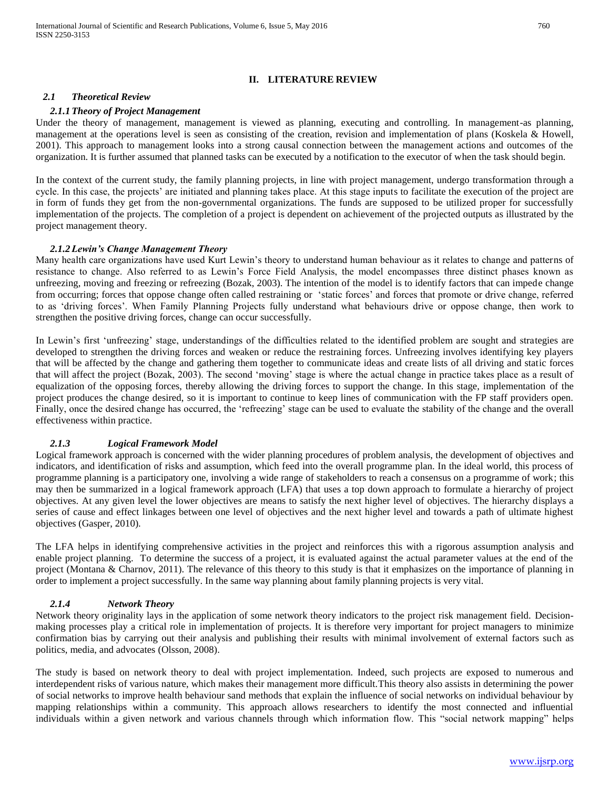#### **II. LITERATURE REVIEW**

#### *2.1 Theoretical Review*

#### *2.1.1 Theory of Project Management*

Under the theory of management, management is viewed as planning, executing and controlling. In management-as planning, management at the operations level is seen as consisting of the creation, revision and implementation of plans (Koskela & Howell, 2001). This approach to management looks into a strong causal connection between the management actions and outcomes of the organization. It is further assumed that planned tasks can be executed by a notification to the executor of when the task should begin.

In the context of the current study, the family planning projects, in line with project management, undergo transformation through a cycle. In this case, the projects' are initiated and planning takes place. At this stage inputs to facilitate the execution of the project are in form of funds they get from the non-governmental organizations. The funds are supposed to be utilized proper for successfully implementation of the projects. The completion of a project is dependent on achievement of the projected outputs as illustrated by the project management theory.

#### *2.1.2 Lewin's Change Management Theory*

Many health care organizations have used Kurt Lewin's theory to understand human behaviour as it relates to change and patterns of resistance to change. Also referred to as Lewin's Force Field Analysis, the model encompasses three distinct phases known as unfreezing, moving and freezing or refreezing (Bozak, 2003). The intention of the model is to identify factors that can impede change from occurring; forces that oppose change often called restraining or 'static forces' and forces that promote or drive change, referred to as 'driving forces'. When Family Planning Projects fully understand what behaviours drive or oppose change, then work to strengthen the positive driving forces, change can occur successfully.

In Lewin's first 'unfreezing' stage, understandings of the difficulties related to the identified problem are sought and strategies are developed to strengthen the driving forces and weaken or reduce the restraining forces. Unfreezing involves identifying key players that will be affected by the change and gathering them together to communicate ideas and create lists of all driving and static forces that will affect the project (Bozak, 2003). The second 'moving' stage is where the actual change in practice takes place as a result of equalization of the opposing forces, thereby allowing the driving forces to support the change. In this stage, implementation of the project produces the change desired, so it is important to continue to keep lines of communication with the FP staff providers open. Finally, once the desired change has occurred, the 'refreezing' stage can be used to evaluate the stability of the change and the overall effectiveness within practice.

#### *2.1.3 Logical Framework Model*

Logical framework approach is concerned with the wider planning procedures of problem analysis, the development of objectives and indicators, and identification of risks and assumption, which feed into the overall programme plan. In the ideal world, this process of programme planning is a participatory one, involving a wide range of stakeholders to reach a consensus on a programme of work; this may then be summarized in a logical framework approach (LFA) that uses a top down approach to formulate a hierarchy of project objectives. At any given level the lower objectives are means to satisfy the next higher level of objectives. The hierarchy displays a series of cause and effect linkages between one level of objectives and the next higher level and towards a path of ultimate highest objectives (Gasper, 2010).

The LFA helps in identifying comprehensive activities in the project and reinforces this with a rigorous assumption analysis and enable project planning. To determine the success of a project, it is evaluated against the actual parameter values at the end of the project (Montana & Charnov, 2011). The relevance of this theory to this study is that it emphasizes on the importance of planning in order to implement a project successfully. In the same way planning about family planning projects is very vital.

#### *2.1.4 Network Theory*

Network theory originality lays in the application of some network theory indicators to the project risk management field. Decisionmaking processes play a critical role in implementation of projects. It is therefore very important for project managers to minimize confirmation bias by carrying out their analysis and publishing their results with minimal involvement of external factors such as politics, media, and advocates (Olsson, 2008).

The study is based on network theory to deal with project implementation. Indeed, such projects are exposed to numerous and interdependent risks of various nature, which makes their management more difficult.This theory also assists in determining the power of social networks to improve health behaviour sand methods that explain the influence of social networks on individual behaviour by mapping relationships within a community. This approach allows researchers to identify the most connected and influential individuals within a given network and various channels through which information flow. This "social network mapping" helps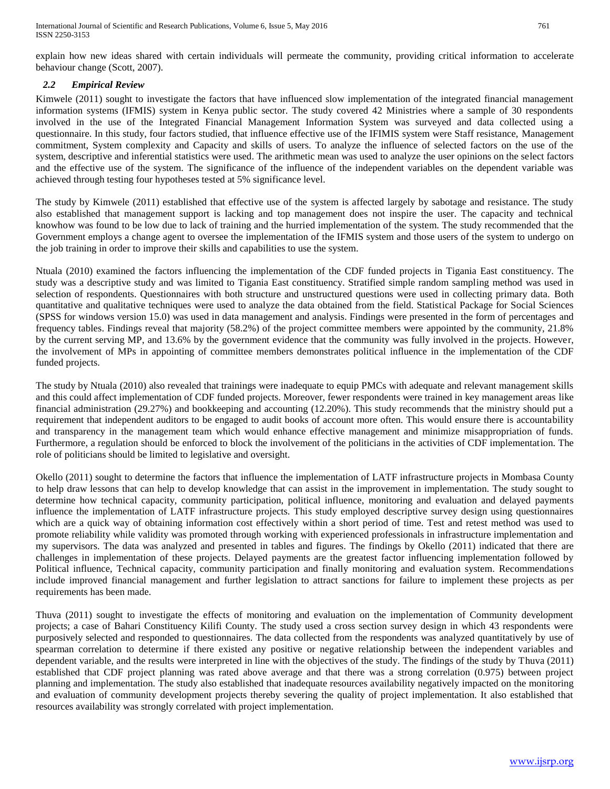International Journal of Scientific and Research Publications, Volume 6, Issue 5, May 2016 761 ISSN 2250-3153

explain how new ideas shared with certain individuals will permeate the community, providing critical information to accelerate behaviour change (Scott, 2007).

## *2.2 Empirical Review*

Kimwele (2011) sought to investigate the factors that have influenced slow implementation of the integrated financial management information systems (IFMIS) system in Kenya public sector. The study covered 42 Ministries where a sample of 30 respondents involved in the use of the Integrated Financial Management Information System was surveyed and data collected using a questionnaire. In this study, four factors studied, that influence effective use of the IFIMIS system were Staff resistance, Management commitment, System complexity and Capacity and skills of users. To analyze the influence of selected factors on the use of the system, descriptive and inferential statistics were used. The arithmetic mean was used to analyze the user opinions on the select factors and the effective use of the system. The significance of the influence of the independent variables on the dependent variable was achieved through testing four hypotheses tested at 5% significance level.

The study by Kimwele (2011) established that effective use of the system is affected largely by sabotage and resistance. The study also established that management support is lacking and top management does not inspire the user. The capacity and technical knowhow was found to be low due to lack of training and the hurried implementation of the system. The study recommended that the Government employs a change agent to oversee the implementation of the IFMIS system and those users of the system to undergo on the job training in order to improve their skills and capabilities to use the system.

Ntuala (2010) examined the factors influencing the implementation of the CDF funded projects in Tigania East constituency. The study was a descriptive study and was limited to Tigania East constituency. Stratified simple random sampling method was used in selection of respondents. Questionnaires with both structure and unstructured questions were used in collecting primary data. Both quantitative and qualitative techniques were used to analyze the data obtained from the field. Statistical Package for Social Sciences (SPSS for windows version 15.0) was used in data management and analysis. Findings were presented in the form of percentages and frequency tables. Findings reveal that majority (58.2%) of the project committee members were appointed by the community, 21.8% by the current serving MP, and 13.6% by the government evidence that the community was fully involved in the projects. However, the involvement of MPs in appointing of committee members demonstrates political influence in the implementation of the CDF funded projects.

The study by Ntuala (2010) also revealed that trainings were inadequate to equip PMCs with adequate and relevant management skills and this could affect implementation of CDF funded projects. Moreover, fewer respondents were trained in key management areas like financial administration (29.27%) and bookkeeping and accounting (12.20%). This study recommends that the ministry should put a requirement that independent auditors to be engaged to audit books of account more often. This would ensure there is accountability and transparency in the management team which would enhance effective management and minimize misappropriation of funds. Furthermore, a regulation should be enforced to block the involvement of the politicians in the activities of CDF implementation. The role of politicians should be limited to legislative and oversight.

Okello (2011) sought to determine the factors that influence the implementation of LATF infrastructure projects in Mombasa County to help draw lessons that can help to develop knowledge that can assist in the improvement in implementation. The study sought to determine how technical capacity, community participation, political influence, monitoring and evaluation and delayed payments influence the implementation of LATF infrastructure projects. This study employed descriptive survey design using questionnaires which are a quick way of obtaining information cost effectively within a short period of time. Test and retest method was used to promote reliability while validity was promoted through working with experienced professionals in infrastructure implementation and my supervisors. The data was analyzed and presented in tables and figures. The findings by Okello (2011) indicated that there are challenges in implementation of these projects. Delayed payments are the greatest factor influencing implementation followed by Political influence, Technical capacity, community participation and finally monitoring and evaluation system. Recommendations include improved financial management and further legislation to attract sanctions for failure to implement these projects as per requirements has been made.

Thuva (2011) sought to investigate the effects of monitoring and evaluation on the implementation of Community development projects; a case of Bahari Constituency Kilifi County. The study used a cross section survey design in which 43 respondents were purposively selected and responded to questionnaires. The data collected from the respondents was analyzed quantitatively by use of spearman correlation to determine if there existed any positive or negative relationship between the independent variables and dependent variable, and the results were interpreted in line with the objectives of the study. The findings of the study by Thuva (2011) established that CDF project planning was rated above average and that there was a strong correlation (0.975) between project planning and implementation. The study also established that inadequate resources availability negatively impacted on the monitoring and evaluation of community development projects thereby severing the quality of project implementation. It also established that resources availability was strongly correlated with project implementation.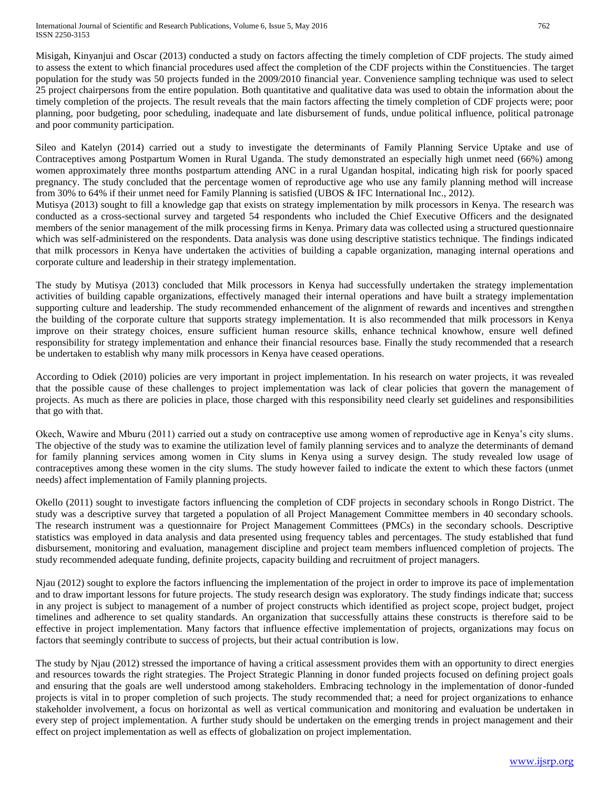Misigah, Kinyanjui and Oscar (2013) conducted a study on factors affecting the timely completion of CDF projects. The study aimed to assess the extent to which financial procedures used affect the completion of the CDF projects within the Constituencies. The target population for the study was 50 projects funded in the 2009/2010 financial year. Convenience sampling technique was used to select 25 project chairpersons from the entire population. Both quantitative and qualitative data was used to obtain the information about the timely completion of the projects. The result reveals that the main factors affecting the timely completion of CDF projects were; poor planning, poor budgeting, poor scheduling, inadequate and late disbursement of funds, undue political influence, political patronage and poor community participation.

Sileo and Katelyn (2014) carried out a study to investigate the determinants of Family Planning Service Uptake and use of Contraceptives among Postpartum Women in Rural Uganda. The study demonstrated an especially high unmet need (66%) among women approximately three months postpartum attending ANC in a rural Ugandan hospital, indicating high risk for poorly spaced pregnancy. The study concluded that the percentage women of reproductive age who use any family planning method will increase from 30% to 64% if their unmet need for Family Planning is satisfied (UBOS & IFC International Inc., 2012).

Mutisya (2013) sought to fill a knowledge gap that exists on strategy implementation by milk processors in Kenya. The research was conducted as a cross-sectional survey and targeted 54 respondents who included the Chief Executive Officers and the designated members of the senior management of the milk processing firms in Kenya. Primary data was collected using a structured questionnaire which was self-administered on the respondents. Data analysis was done using descriptive statistics technique. The findings indicated that milk processors in Kenya have undertaken the activities of building a capable organization, managing internal operations and corporate culture and leadership in their strategy implementation.

The study by Mutisya (2013) concluded that Milk processors in Kenya had successfully undertaken the strategy implementation activities of building capable organizations, effectively managed their internal operations and have built a strategy implementation supporting culture and leadership. The study recommended enhancement of the alignment of rewards and incentives and strengthen the building of the corporate culture that supports strategy implementation. It is also recommended that milk processors in Kenya improve on their strategy choices, ensure sufficient human resource skills, enhance technical knowhow, ensure well defined responsibility for strategy implementation and enhance their financial resources base. Finally the study recommended that a research be undertaken to establish why many milk processors in Kenya have ceased operations.

According to Odiek (2010) policies are very important in project implementation. In his research on water projects, it was revealed that the possible cause of these challenges to project implementation was lack of clear policies that govern the management of projects. As much as there are policies in place, those charged with this responsibility need clearly set guidelines and responsibilities that go with that.

Okech, Wawire and Mburu (2011) carried out a study on contraceptive use among women of reproductive age in Kenya's city slums. The objective of the study was to examine the utilization level of family planning services and to analyze the determinants of demand for family planning services among women in City slums in Kenya using a survey design. The study revealed low usage of contraceptives among these women in the city slums. The study however failed to indicate the extent to which these factors (unmet needs) affect implementation of Family planning projects.

Okello (2011) sought to investigate factors influencing the completion of CDF projects in secondary schools in Rongo District. The study was a descriptive survey that targeted a population of all Project Management Committee members in 40 secondary schools. The research instrument was a questionnaire for Project Management Committees (PMCs) in the secondary schools. Descriptive statistics was employed in data analysis and data presented using frequency tables and percentages. The study established that fund disbursement, monitoring and evaluation, management discipline and project team members influenced completion of projects. The study recommended adequate funding, definite projects, capacity building and recruitment of project managers.

Njau (2012) sought to explore the factors influencing the implementation of the project in order to improve its pace of implementation and to draw important lessons for future projects. The study research design was exploratory. The study findings indicate that; success in any project is subject to management of a number of project constructs which identified as project scope, project budget, project timelines and adherence to set quality standards. An organization that successfully attains these constructs is therefore said to be effective in project implementation. Many factors that influence effective implementation of projects, organizations may focus on factors that seemingly contribute to success of projects, but their actual contribution is low.

The study by Njau (2012) stressed the importance of having a critical assessment provides them with an opportunity to direct energies and resources towards the right strategies. The Project Strategic Planning in donor funded projects focused on defining project goals and ensuring that the goals are well understood among stakeholders. Embracing technology in the implementation of donor-funded projects is vital in to proper completion of such projects. The study recommended that; a need for project organizations to enhance stakeholder involvement, a focus on horizontal as well as vertical communication and monitoring and evaluation be undertaken in every step of project implementation. A further study should be undertaken on the emerging trends in project management and their effect on project implementation as well as effects of globalization on project implementation.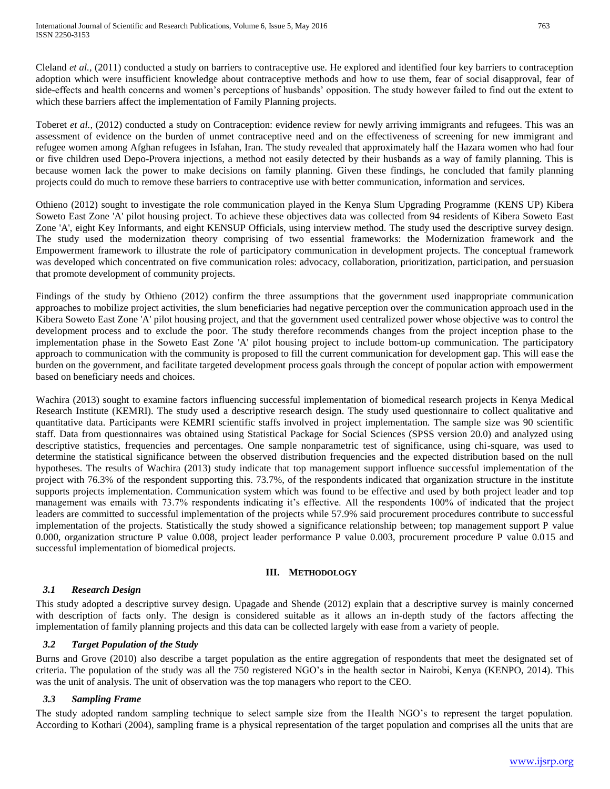Cleland *et al.,* (2011) conducted a study on barriers to contraceptive use. He explored and identified four key barriers to contraception adoption which were insufficient knowledge about contraceptive methods and how to use them, fear of social disapproval, fear of side-effects and health concerns and women's perceptions of husbands' opposition. The study however failed to find out the extent to which these barriers affect the implementation of Family Planning projects.

Toberet *et al.*, (2012) conducted a study on Contraception: evidence review for newly arriving immigrants and refugees. This was an assessment of evidence on the burden of unmet contraceptive need and on the effectiveness of screening for new immigrant and refugee women among Afghan refugees in Isfahan, Iran. The study revealed that approximately half the Hazara women who had four or five children used Depo-Provera injections, a method not easily detected by their husbands as a way of family planning. This is because women lack the power to make decisions on family planning. Given these findings, he concluded that family planning projects could do much to remove these barriers to contraceptive use with better communication, information and services.

Othieno (2012) sought to investigate the role communication played in the Kenya Slum Upgrading Programme (KENS UP) Kibera Soweto East Zone 'A' pilot housing project. To achieve these objectives data was collected from 94 residents of Kibera Soweto East Zone 'A', eight Key Informants, and eight KENSUP Officials, using interview method. The study used the descriptive survey design. The study used the modernization theory comprising of two essential frameworks: the Modernization framework and the Empowerment framework to illustrate the role of participatory communication in development projects. The conceptual framework was developed which concentrated on five communication roles: advocacy, collaboration, prioritization, participation, and persuasion that promote development of community projects.

Findings of the study by Othieno (2012) confirm the three assumptions that the government used inappropriate communication approaches to mobilize project activities, the slum beneficiaries had negative perception over the communication approach used in the Kibera Soweto East Zone 'A' pilot housing project, and that the government used centralized power whose objective was to control the development process and to exclude the poor. The study therefore recommends changes from the project inception phase to the implementation phase in the Soweto East Zone 'A' pilot housing project to include bottom-up communication. The participatory approach to communication with the community is proposed to fill the current communication for development gap. This will ease the burden on the government, and facilitate targeted development process goals through the concept of popular action with empowerment based on beneficiary needs and choices.

Wachira (2013) sought to examine factors influencing successful implementation of biomedical research projects in Kenya Medical Research Institute (KEMRI). The study used a descriptive research design. The study used questionnaire to collect qualitative and quantitative data. Participants were KEMRI scientific staffs involved in project implementation. The sample size was 90 scientific staff. Data from questionnaires was obtained using Statistical Package for Social Sciences (SPSS version 20.0) and analyzed using descriptive statistics, frequencies and percentages. One sample nonparametric test of significance, using chi-square, was used to determine the statistical significance between the observed distribution frequencies and the expected distribution based on the null hypotheses. The results of Wachira (2013) study indicate that top management support influence successful implementation of the project with 76.3% of the respondent supporting this. 73.7%, of the respondents indicated that organization structure in the institute supports projects implementation. Communication system which was found to be effective and used by both project leader and top management was emails with 73.7% respondents indicating it's effective. All the respondents 100% of indicated that the project leaders are committed to successful implementation of the projects while 57.9% said procurement procedures contribute to successful implementation of the projects. Statistically the study showed a significance relationship between; top management support P value 0.000, organization structure P value 0.008, project leader performance P value 0.003, procurement procedure P value 0.015 and successful implementation of biomedical projects.

## **III. METHODOLOGY**

## *3.1 Research Design*

This study adopted a descriptive survey design. Upagade and Shende (2012) explain that a descriptive survey is mainly concerned with description of facts only. The design is considered suitable as it allows an in-depth study of the factors affecting the implementation of family planning projects and this data can be collected largely with ease from a variety of people.

## *3.2 Target Population of the Study*

Burns and Grove (2010) also describe a target population as the entire aggregation of respondents that meet the designated set of criteria. The population of the study was all the 750 registered NGO's in the health sector in Nairobi, Kenya (KENPO, 2014). This was the unit of analysis. The unit of observation was the top managers who report to the CEO.

## *3.3 Sampling Frame*

The study adopted random sampling technique to select sample size from the Health NGO's to represent the target population. According to Kothari (2004), sampling frame is a physical representation of the target population and comprises all the units that are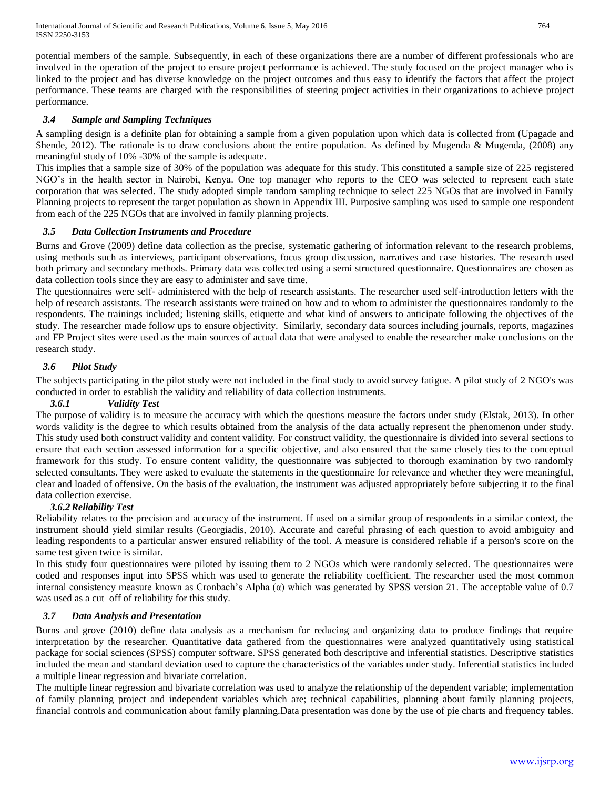potential members of the sample. Subsequently, in each of these organizations there are a number of different professionals who are involved in the operation of the project to ensure project performance is achieved. The study focused on the project manager who is linked to the project and has diverse knowledge on the project outcomes and thus easy to identify the factors that affect the project performance. These teams are charged with the responsibilities of steering project activities in their organizations to achieve project performance.

## *3.4 Sample and Sampling Techniques*

A sampling design is a definite plan for obtaining a sample from a given population upon which data is collected from (Upagade and Shende, 2012). The rationale is to draw conclusions about the entire population. As defined by Mugenda & Mugenda,  $(2008)$  any meaningful study of 10% -30% of the sample is adequate.

This implies that a sample size of 30% of the population was adequate for this study. This constituted a sample size of 225 registered NGO's in the health sector in Nairobi, Kenya. One top manager who reports to the CEO was selected to represent each state corporation that was selected. The study adopted simple random sampling technique to select 225 NGOs that are involved in Family Planning projects to represent the target population as shown in Appendix III. Purposive sampling was used to sample one respondent from each of the 225 NGOs that are involved in family planning projects.

## *3.5 Data Collection Instruments and Procedure*

Burns and Grove (2009) define data collection as the precise, systematic gathering of information relevant to the research problems, using methods such as interviews, participant observations, focus group discussion, narratives and case histories. The research used both primary and secondary methods. Primary data was collected using a semi structured questionnaire. Questionnaires are chosen as data collection tools since they are easy to administer and save time.

The questionnaires were self- administered with the help of research assistants. The researcher used self-introduction letters with the help of research assistants. The research assistants were trained on how and to whom to administer the questionnaires randomly to the respondents. The trainings included; listening skills, etiquette and what kind of answers to anticipate following the objectives of the study. The researcher made follow ups to ensure objectivity. Similarly, secondary data sources including journals, reports, magazines and FP Project sites were used as the main sources of actual data that were analysed to enable the researcher make conclusions on the research study.

## *3.6 Pilot Study*

The subjects participating in the pilot study were not included in the final study to avoid survey fatigue. A pilot study of 2 NGO's was conducted in order to establish the validity and reliability of data collection instruments.

## *3.6.1 Validity Test*

The purpose of validity is to measure the accuracy with which the questions measure the factors under study (Elstak, 2013). In other words validity is the degree to which results obtained from the analysis of the data actually represent the phenomenon under study. This study used both construct validity and content validity. For construct validity, the questionnaire is divided into several sections to ensure that each section assessed information for a specific objective, and also ensured that the same closely ties to the conceptual framework for this study. To ensure content validity, the questionnaire was subjected to thorough examination by two randomly selected consultants. They were asked to evaluate the statements in the questionnaire for relevance and whether they were meaningful, clear and loaded of offensive. On the basis of the evaluation, the instrument was adjusted appropriately before subjecting it to the final data collection exercise.

## *3.6.2Reliability Test*

Reliability relates to the precision and accuracy of the instrument. If used on a similar group of respondents in a similar context, the instrument should yield similar results (Georgiadis, 2010). Accurate and careful phrasing of each question to avoid ambiguity and leading respondents to a particular answer ensured reliability of the tool. A measure is considered reliable if a person's score on the same test given twice is similar.

In this study four questionnaires were piloted by issuing them to 2 NGOs which were randomly selected. The questionnaires were coded and responses input into SPSS which was used to generate the reliability coefficient. The researcher used the most common internal consistency measure known as Cronbach's Alpha (α) which was generated by SPSS version 21. The acceptable value of 0.7 was used as a cut–off of reliability for this study.

## *3.7 Data Analysis and Presentation*

Burns and grove (2010) define data analysis as a mechanism for reducing and organizing data to produce findings that require interpretation by the researcher. Quantitative data gathered from the questionnaires were analyzed quantitatively using statistical package for social sciences (SPSS) computer software. SPSS generated both descriptive and inferential statistics. Descriptive statistics included the mean and standard deviation used to capture the characteristics of the variables under study. Inferential statistics included a multiple linear regression and bivariate correlation.

The multiple linear regression and bivariate correlation was used to analyze the relationship of the dependent variable; implementation of family planning project and independent variables which are; technical capabilities, planning about family planning projects, financial controls and communication about family planning.Data presentation was done by the use of pie charts and frequency tables.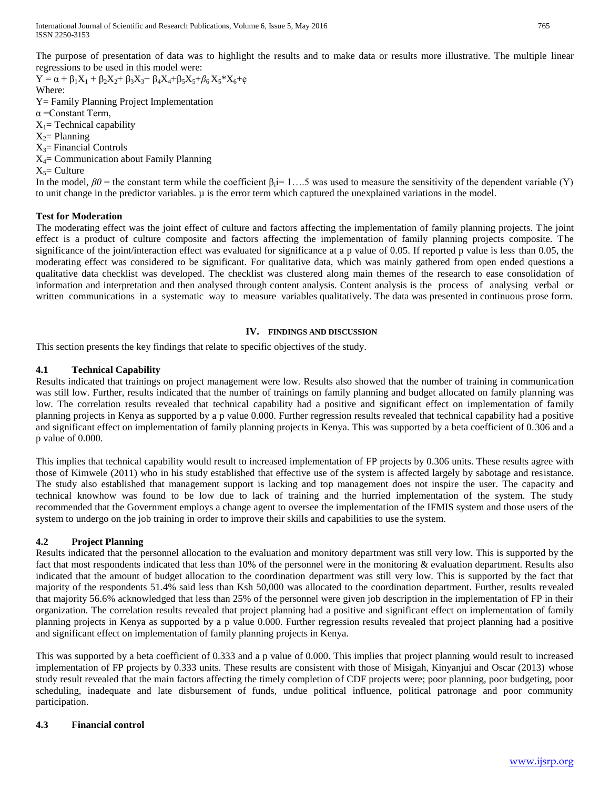International Journal of Scientific and Research Publications, Volume 6, Issue 5, May 2016 765 ISSN 2250-3153

The purpose of presentation of data was to highlight the results and to make data or results more illustrative. The multiple linear regressions to be used in this model were:

 $Y = \alpha + \beta_1 X_1 + \beta_2 X_2 + \beta_3 X_3 + \beta_4 X_4 + \beta_5 X_5 + \beta_6 X_5 * X_6 + \varrho$ Where: Y= Family Planning Project Implementation α =Constant Term,  $X_1$ = Technical capability  $X_2$ = Planning  $X_3$ = Financial Controls  $X_4$ = Communication about Family Planning  $X_5$ = Culture

In the model,  $\beta \theta$  = the constant term while the coefficient  $\beta_i$  = 1....5 was used to measure the sensitivity of the dependent variable (Y) to unit change in the predictor variables. µ is the error term which captured the unexplained variations in the model.

## **Test for Moderation**

The moderating effect was the joint effect of culture and factors affecting the implementation of family planning projects. The joint effect is a product of culture composite and factors affecting the implementation of family planning projects composite. The significance of the joint/interaction effect was evaluated for significance at a p value of 0.05. If reported p value is less than 0.05, the moderating effect was considered to be significant. For qualitative data, which was mainly gathered from open ended questions a qualitative data checklist was developed. The checklist was clustered along main themes of the research to ease consolidation of information and interpretation and then analysed through content analysis. Content analysis is the process of analysing verbal or written communications in a systematic way to measure variables qualitatively. The data was presented in continuous prose form.

#### **IV. FINDINGS AND DISCUSSION**

This section presents the key findings that relate to specific objectives of the study.

#### **4.1 Technical Capability**

Results indicated that trainings on project management were low. Results also showed that the number of training in communication was still low. Further, results indicated that the number of trainings on family planning and budget allocated on family planning was low. The correlation results revealed that technical capability had a positive and significant effect on implementation of family planning projects in Kenya as supported by a p value 0.000. Further regression results revealed that technical capability had a positive and significant effect on implementation of family planning projects in Kenya. This was supported by a beta coefficient of 0.306 and a p value of 0.000.

This implies that technical capability would result to increased implementation of FP projects by 0.306 units. These results agree with those of Kimwele (2011) who in his study established that effective use of the system is affected largely by sabotage and resistance. The study also established that management support is lacking and top management does not inspire the user. The capacity and technical knowhow was found to be low due to lack of training and the hurried implementation of the system. The study recommended that the Government employs a change agent to oversee the implementation of the IFMIS system and those users of the system to undergo on the job training in order to improve their skills and capabilities to use the system.

## **4.2 Project Planning**

Results indicated that the personnel allocation to the evaluation and monitory department was still very low. This is supported by the fact that most respondents indicated that less than 10% of the personnel were in the monitoring & evaluation department. Results also indicated that the amount of budget allocation to the coordination department was still very low. This is supported by the fact that majority of the respondents 51.4% said less than Ksh 50,000 was allocated to the coordination department. Further, results revealed that majority 56.6% acknowledged that less than 25% of the personnel were given job description in the implementation of FP in their organization. The correlation results revealed that project planning had a positive and significant effect on implementation of family planning projects in Kenya as supported by a p value 0.000. Further regression results revealed that project planning had a positive and significant effect on implementation of family planning projects in Kenya.

This was supported by a beta coefficient of 0.333 and a p value of 0.000. This implies that project planning would result to increased implementation of FP projects by 0.333 units. These results are consistent with those of Misigah, Kinyanjui and Oscar (2013) whose study result revealed that the main factors affecting the timely completion of CDF projects were; poor planning, poor budgeting, poor scheduling, inadequate and late disbursement of funds, undue political influence, political patronage and poor community participation.

#### **4.3 Financial control**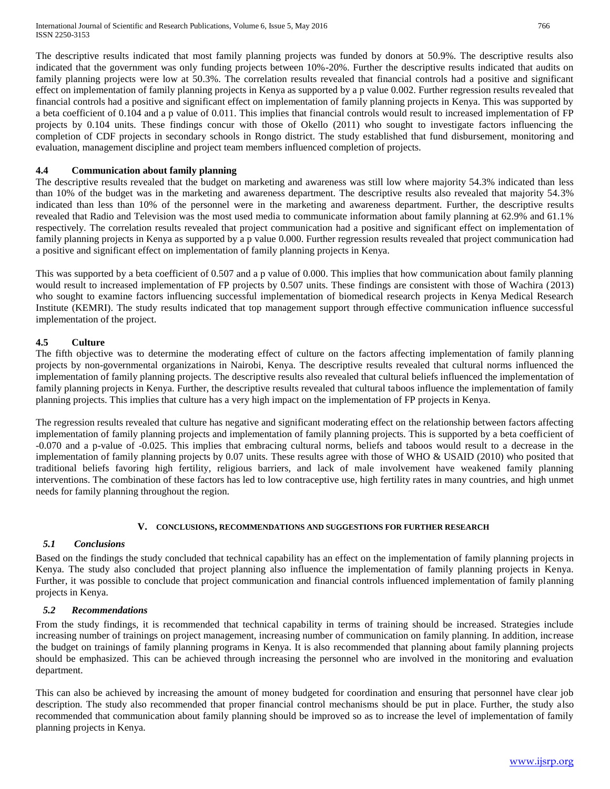The descriptive results indicated that most family planning projects was funded by donors at 50.9%. The descriptive results also indicated that the government was only funding projects between 10%-20%. Further the descriptive results indicated that audits on family planning projects were low at 50.3%. The correlation results revealed that financial controls had a positive and significant effect on implementation of family planning projects in Kenya as supported by a p value 0.002. Further regression results revealed that financial controls had a positive and significant effect on implementation of family planning projects in Kenya. This was supported by a beta coefficient of 0.104 and a p value of 0.011. This implies that financial controls would result to increased implementation of FP projects by 0.104 units. These findings concur with those of Okello (2011) who sought to investigate factors influencing the completion of CDF projects in secondary schools in Rongo district. The study established that fund disbursement, monitoring and evaluation, management discipline and project team members influenced completion of projects.

## **4.4 Communication about family planning**

The descriptive results revealed that the budget on marketing and awareness was still low where majority 54.3% indicated than less than 10% of the budget was in the marketing and awareness department. The descriptive results also revealed that majority 54.3% indicated than less than 10% of the personnel were in the marketing and awareness department. Further, the descriptive results revealed that Radio and Television was the most used media to communicate information about family planning at 62.9% and 61.1% respectively. The correlation results revealed that project communication had a positive and significant effect on implementation of family planning projects in Kenya as supported by a p value 0.000. Further regression results revealed that project communication had a positive and significant effect on implementation of family planning projects in Kenya.

This was supported by a beta coefficient of 0.507 and a p value of 0.000. This implies that how communication about family planning would result to increased implementation of FP projects by 0.507 units. These findings are consistent with those of Wachira (2013) who sought to examine factors influencing successful implementation of biomedical research projects in Kenya Medical Research Institute (KEMRI). The study results indicated that top management support through effective communication influence successful implementation of the project.

## **4.5 Culture**

The fifth objective was to determine the moderating effect of culture on the factors affecting implementation of family planning projects by non-governmental organizations in Nairobi, Kenya. The descriptive results revealed that cultural norms influenced the implementation of family planning projects. The descriptive results also revealed that cultural beliefs influenced the implementation of family planning projects in Kenya. Further, the descriptive results revealed that cultural taboos influence the implementation of family planning projects. This implies that culture has a very high impact on the implementation of FP projects in Kenya.

The regression results revealed that culture has negative and significant moderating effect on the relationship between factors affecting implementation of family planning projects and implementation of family planning projects. This is supported by a beta coefficient of -0.070 and a p-value of -0.025. This implies that embracing cultural norms, beliefs and taboos would result to a decrease in the implementation of family planning projects by 0.07 units. These results agree with those of WHO & USAID (2010) who posited that traditional beliefs favoring high fertility, religious barriers, and lack of male involvement have weakened family planning interventions. The combination of these factors has led to low contraceptive use, high fertility rates in many countries, and high unmet needs for family planning throughout the region.

## **V. CONCLUSIONS, RECOMMENDATIONS AND SUGGESTIONS FOR FURTHER RESEARCH**

## *5.1 Conclusions*

Based on the findings the study concluded that technical capability has an effect on the implementation of family planning projects in Kenya. The study also concluded that project planning also influence the implementation of family planning projects in Kenya. Further, it was possible to conclude that project communication and financial controls influenced implementation of family planning projects in Kenya.

## *5.2 Recommendations*

From the study findings, it is recommended that technical capability in terms of training should be increased. Strategies include increasing number of trainings on project management, increasing number of communication on family planning. In addition, increase the budget on trainings of family planning programs in Kenya. It is also recommended that planning about family planning projects should be emphasized. This can be achieved through increasing the personnel who are involved in the monitoring and evaluation department.

This can also be achieved by increasing the amount of money budgeted for coordination and ensuring that personnel have clear job description. The study also recommended that proper financial control mechanisms should be put in place. Further, the study also recommended that communication about family planning should be improved so as to increase the level of implementation of family planning projects in Kenya.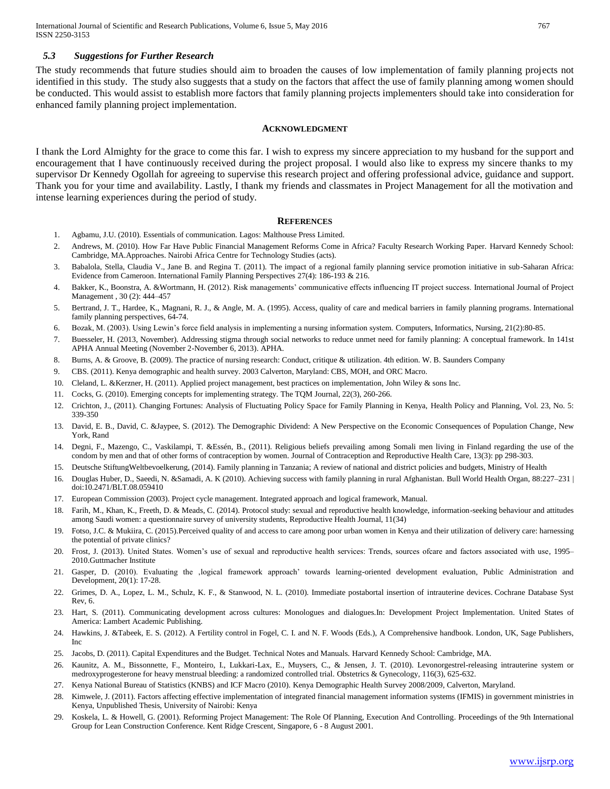#### *5.3 Suggestions for Further Research*

The study recommends that future studies should aim to broaden the causes of low implementation of family planning projects not identified in this study. The study also suggests that a study on the factors that affect the use of family planning among women should be conducted. This would assist to establish more factors that family planning projects implementers should take into consideration for enhanced family planning project implementation.

#### **ACKNOWLEDGMENT**

I thank the Lord Almighty for the grace to come this far. I wish to express my sincere appreciation to my husband for the support and encouragement that I have continuously received during the project proposal. I would also like to express my sincere thanks to my supervisor Dr Kennedy Ogollah for agreeing to supervise this research project and offering professional advice, guidance and support. Thank you for your time and availability. Lastly, I thank my friends and classmates in Project Management for all the motivation and intense learning experiences during the period of study.

#### **REFERENCES**

- 1. Agbamu, J.U. (2010). Essentials of communication. Lagos: Malthouse Press Limited.
- 2. Andrews, M. (2010). How Far Have Public Financial Management Reforms Come in Africa? Faculty Research Working Paper. Harvard Kennedy School: Cambridge, MA.Approaches. Nairobi Africa Centre for Technology Studies (acts).
- 3. Babalola, Stella, Claudia V., Jane B. and Regina T. (2011). The impact of a regional family planning service promotion initiative in sub-Saharan Africa: Evidence from Cameroon. International Family Planning Perspectives 27(4): 186-193 & 216.
- 4. Bakker, K., Boonstra, A. &Wortmann, H. (2012). Risk managements' communicative effects influencing IT project success. International Journal of Project Management , 30 (2): 444–457
- 5. Bertrand, J. T., Hardee, K., Magnani, R. J., & Angle, M. A. (1995). Access, quality of care and medical barriers in family planning programs. International family planning perspectives, 64-74.
- 6. Bozak, M. (2003). Using Lewin's force field analysis in implementing a nursing information system. Computers, Informatics, Nursing, 21(2):80-85.
- 7. Buesseler, H. (2013, November). Addressing stigma through social networks to reduce unmet need for family planning: A conceptual framework. In 141st APHA Annual Meeting (November 2-November 6, 2013). APHA.
- 8. Burns, A. & Groove, B. (2009). The practice of nursing research: Conduct, critique & utilization. 4th edition. W. B. Saunders Company
- 9. CBS. (2011). Kenya demographic and health survey. 2003 Calverton, Maryland: CBS, MOH, and ORC Macro.
- 10. Cleland, L. &Kerzner, H. (2011). Applied project management, best practices on implementation, John Wiley & sons Inc.
- 11. Cocks, G. (2010). Emerging concepts for implementing strategy. The TQM Journal, 22(3), 260-266.
- 12. Crichton, J., (2011). Changing Fortunes: Analysis of Fluctuating Policy Space for Family Planning in Kenya, Health Policy and Planning, Vol. 23, No. 5: 339-350
- 13. David, E. B., David, C. &Jaypee, S. (2012). The Demographic Dividend: A New Perspective on the Economic Consequences of Population Change, New York, Rand
- 14. Degni, F., Mazengo, C., Vaskilampi, T. &Essén, B., (2011). Religious beliefs prevailing among Somali men living in Finland regarding the use of the condom by men and that of other forms of contraception by women. Journal of Contraception and Reproductive Health Care, 13(3): pp 298-303.
- 15. Deutsche StiftungWeltbevoelkerung, (2014). Family planning in Tanzania; A review of national and district policies and budgets, Ministry of Health
- 16. Douglas Huber, D., Saeedi, N. &Samadi, A. K (2010). Achieving success with family planning in rural Afghanistan. Bull World Health Organ, 88:227–231 | doi:10.2471/BLT.08.059410
- 17. European Commission (2003). Project cycle management. Integrated approach and logical framework, Manual.
- 18. Farih, M., Khan, K., Freeth, D. & Meads, C. (2014). Protocol study: sexual and reproductive health knowledge, information-seeking behaviour and attitudes among Saudi women: a questionnaire survey of university students, Reproductive Health Journal, 11(34)
- 19. Fotso, J.C. & Mukiira, C. (2015).Perceived quality of and access to care among poor urban women in Kenya and their utilization of delivery care: harnessing the potential of private clinics?
- 20. Frost, J. (2013). United States. Women's use of sexual and reproductive health services: Trends, sources ofcare and factors associated with use, 1995– 2010.Guttmacher Institute
- 21. Gasper, D. (2010). Evaluating the 'logical framework approach' towards learning-oriented development evaluation, Public Administration and Development, 20(1): 17-28.
- 22. Grimes, D. A., Lopez, L. M., Schulz, K. F., & Stanwood, N. L. (2010). Immediate postabortal insertion of intrauterine devices. Cochrane Database Syst Rev, 6.
- 23. Hart, S. (2011). Communicating development across cultures: Monologues and dialogues.In: Development Project Implementation. United States of America: Lambert Academic Publishing.
- 24. Hawkins, J. &Tabeek, E. S. (2012). A Fertility control in Fogel, C. I. and N. F. Woods (Eds.), A Comprehensive handbook. London, UK, Sage Publishers, Inc
- 25. Jacobs, D. (2011). Capital Expenditures and the Budget. Technical Notes and Manuals. Harvard Kennedy School: Cambridge, MA.
- 26. Kaunitz, A. M., Bissonnette, F., Monteiro, I., Lukkari-Lax, E., Muysers, C., & Jensen, J. T. (2010). Levonorgestrel-releasing intrauterine system or medroxyprogesterone for heavy menstrual bleeding: a randomized controlled trial. Obstetrics & Gynecology, 116(3), 625-632.
- 27. Kenya National Bureau of Statistics (KNBS) and ICF Macro (2010). Kenya Demographic Health Survey 2008/2009, Calverton, Maryland.
- 28. Kimwele, J. (2011). Factors affecting effective implementation of integrated financial management information systems (IFMIS) in government ministries in Kenya, Unpublished Thesis, University of Nairobi: Kenya
- 29. Koskela, L. & Howell, G. (2001). Reforming Project Management: The Role Of Planning, Execution And Controlling. Proceedings of the 9th International Group for Lean Construction Conference. Kent Ridge Crescent, Singapore, 6 - 8 August 2001.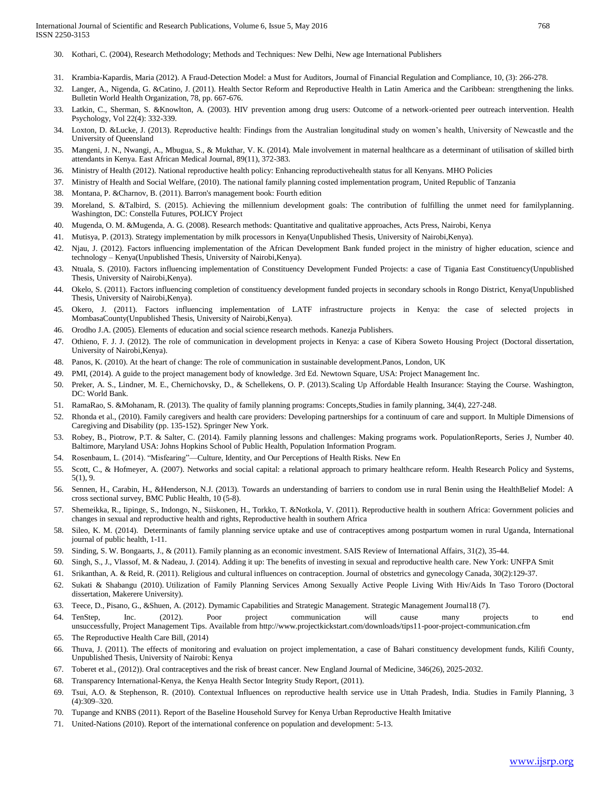- 30. Kothari, C. (2004), Research Methodology; Methods and Techniques: New Delhi, New age International Publishers
- 31. Krambia-Kapardis, Maria (2012). A Fraud-Detection Model: a Must for Auditors, Journal of Financial Regulation and Compliance, 10, (3): 266-278.
- 32. Langer, A., Nigenda, G. &Catino, J. (2011). Health Sector Reform and Reproductive Health in Latin America and the Caribbean: strengthening the links. Bulletin World Health Organization, 78, pp. 667-676.
- 33. Latkin, C., Sherman, S. &Knowlton, A. (2003). HIV prevention among drug users: Outcome of a network-oriented peer outreach intervention. Health Psychology, Vol 22(4): 332-339.
- 34. Loxton, D. &Lucke, J. (2013). Reproductive health: Findings from the Australian longitudinal study on women's health, University of Newcastle and the University of Queensland
- 35. Mangeni, J. N., Nwangi, A., Mbugua, S., & Mukthar, V. K. (2014). Male involvement in maternal healthcare as a determinant of utilisation of skilled birth attendants in Kenya. East African Medical Journal, 89(11), 372-383.
- 36. Ministry of Health (2012). National reproductive health policy: Enhancing reproductivehealth status for all Kenyans. MHO Policies
- 37. Ministry of Health and Social Welfare, (2010). The national family planning costed implementation program, United Republic of Tanzania
- 38. Montana, P. &Charnov, B. (2011). Barron's management book: Fourth edition
- 39. Moreland, S. &Talbird, S. (2015). Achieving the millennium development goals: The contribution of fulfilling the unmet need for familyplanning. Washington, DC: Constella Futures, POLICY Project
- 40. Mugenda, O. M. &Mugenda, A. G. (2008). Research methods: Quantitative and qualitative approaches, Acts Press, Nairobi, Kenya
- 41. Mutisya, P. (2013). Strategy implementation by milk processors in Kenya(Unpublished Thesis, University of Nairobi,Kenya).
- 42. Njau, J. (2012). Factors influencing implementation of the African Development Bank funded project in the ministry of higher education, science and technology – Kenya(Unpublished Thesis, University of Nairobi,Kenya).
- 43. Ntuala, S. (2010). Factors influencing implementation of Constituency Development Funded Projects: a case of Tigania East Constituency(Unpublished Thesis, University of Nairobi,Kenya).
- 44. Okelo, S. (2011). Factors influencing completion of constituency development funded projects in secondary schools in Rongo District, Kenya(Unpublished Thesis, University of Nairobi,Kenya).
- 45. Okero, J. (2011). Factors influencing implementation of LATF infrastructure projects in Kenya: the case of selected projects in MombasaCounty(Unpublished Thesis, University of Nairobi,Kenya).
- 46. Orodho J.A. (2005). Elements of education and social science research methods. Kanezja Publishers.
- 47. Othieno, F. J. J. (2012). The role of communication in development projects in Kenya: a case of Kibera Soweto Housing Project (Doctoral dissertation, University of Nairobi,Kenya).
- 48. Panos, K. (2010). At the heart of change: The role of communication in sustainable development.Panos, London, UK
- 49. PMI, (2014). A guide to the project management body of knowledge. 3rd Ed. Newtown Square, USA: Project Management Inc.
- 50. Preker, A. S., Lindner, M. E., Chernichovsky, D., & Schellekens, O. P. (2013).Scaling Up Affordable Health Insurance: Staying the Course. Washington, DC: World Bank.
- 51. RamaRao, S. &Mohanam, R. (2013). The quality of family planning programs: Concepts,Studies in family planning, 34(4), 227-248.
- 52. Rhonda et al., (2010). Family caregivers and health care providers: Developing partnerships for a continuum of care and support. In Multiple Dimensions of Caregiving and Disability (pp. 135-152). Springer New York.
- 53. Robey, B., Piotrow, P.T. & Salter, C. (2014). Family planning lessons and challenges: Making programs work. PopulationReports, Series J, Number 40. Baltimore, Maryland USA: Johns Hopkins School of Public Health, Population Information Program.
- 54. Rosenbaum, L. (2014). "Misfearing"—Culture, Identity, and Our Perceptions of Health Risks. New En
- 55. Scott, C., & Hofmeyer, A. (2007). Networks and social capital: a relational approach to primary healthcare reform. Health Research Policy and Systems,  $5(1), 9$
- 56. Sennen, H., Carabin, H., &Henderson, N.J. (2013). Towards an understanding of barriers to condom use in rural Benin using the HealthBelief Model: A cross sectional survey, BMC Public Health, 10 (5-8).
- 57. Shemeikka, R., Iipinge, S., Indongo, N., Siiskonen, H., Torkko, T. &Notkola, V. (2011). Reproductive health in southern Africa: Government policies and changes in sexual and reproductive health and rights, Reproductive health in southern Africa
- 58. Sileo, K. M. (2014). Determinants of family planning service uptake and use of contraceptives among postpartum women in rural Uganda, International journal of public health, 1-11.
- 59. Sinding, S. W. Bongaarts, J., & (2011). Family planning as an economic investment. SAIS Review of International Affairs, 31(2), 35-44.
- 60. Singh, S., J., Vlassof, M. & Nadeau, J. (2014). Adding it up: The benefits of investing in sexual and reproductive health care. New York: UNFPA Smit
- 61. Srikanthan, A. & Reid, R. (2011). Religious and cultural influences on contraception. Journal of obstetrics and gynecology Canada, 30(2):129-37.
- 62. Sukati & Shabangu (2010). Utilization of Family Planning Services Among Sexually Active People Living With Hiv/Aids In Taso Tororo (Doctoral dissertation, Makerere University).
- 63. Teece, D., Pisano, G., &Shuen, A. (2012). Dymamic Capabilities and Strategic Management. Strategic Management Journal18 (7).
- 64. TenStep, Inc. (2012). Poor project communication will cause many projects to end unsuccessfully, Project Management Tips. Available from http://www.projectkickstart.com/downloads/tips11-poor-project-communication.cfm
- 65. The Reproductive Health Care Bill, (2014)
- 66. Thuva, J. (2011). The effects of monitoring and evaluation on project implementation, a case of Bahari constituency development funds, Kilifi County, Unpublished Thesis, University of Nairobi: Kenya
- 67. Toberet et al., (2012)). Oral contraceptives and the risk of breast cancer. New England Journal of Medicine, 346(26), 2025-2032.
- 68. Transparency International-Kenya, the Kenya Health Sector Integrity Study Report, (2011).
- 69. Tsui, A.O. & Stephenson, R. (2010). Contextual Influences on reproductive health service use in Uttah Pradesh, India. Studies in Family Planning, 3 (4):309–320.
- 70. Tupange and KNBS (2011). Report of the Baseline Household Survey for Kenya Urban Reproductive Health Imitative
- 71. United-Nations (2010). Report of the international conference on population and development: 5-13.